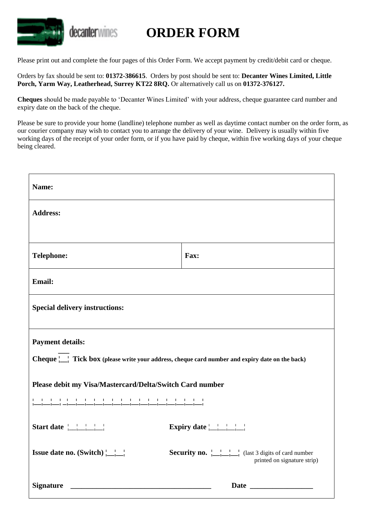

## **ORDER FORM**

Please print out and complete the four pages of this Order Form. We accept payment by credit/debit card or cheque.

Orders by fax should be sent to: **01372-386615**. Orders by post should be sent to: **Decanter Wines Limited, Little Porch, Yarm Way, Leatherhead, Surrey KT22 8RQ.** Or alternatively call us on **01372-376127.**

**Cheques** should be made payable to 'Decanter Wines Limited' with your address, cheque guarantee card number and expiry date on the back of the cheque.

Please be sure to provide your home (landline) telephone number as well as daytime contact number on the order form, as our courier company may wish to contact you to arrange the delivery of your wine. Delivery is usually within five working days of the receipt of your order form, or if you have paid by cheque, within five working days of your cheque being cleared.

| Name:                                                                                                                      |                                                                                         |  |  |  |
|----------------------------------------------------------------------------------------------------------------------------|-----------------------------------------------------------------------------------------|--|--|--|
| <b>Address:</b>                                                                                                            |                                                                                         |  |  |  |
|                                                                                                                            |                                                                                         |  |  |  |
| <b>Telephone:</b>                                                                                                          | Fax:                                                                                    |  |  |  |
| Email:                                                                                                                     |                                                                                         |  |  |  |
| <b>Special delivery instructions:</b>                                                                                      |                                                                                         |  |  |  |
| <b>Payment details:</b><br>Cheque     Tick box (please write your address, cheque card number and expiry date on the back) |                                                                                         |  |  |  |
| Please debit my Visa/Mastercard/Delta/Switch Card number                                                                   |                                                                                         |  |  |  |
| <u> 1999 - Johann Bernstein, metalais pa</u>                                                                               |                                                                                         |  |  |  |
| Start date                                                                                                                 |                                                                                         |  |  |  |
| <b>Issue date no.</b> (Switch) $\begin{array}{c} \begin{array}{c} \begin{array}{c} \end{array} \\ \end{array}$             | <b>Security no.</b> [1, 1] (last 3 digits of card number<br>printed on signature strip) |  |  |  |
| <b>Signature</b>                                                                                                           |                                                                                         |  |  |  |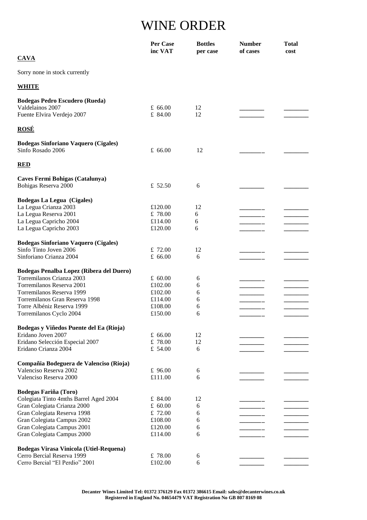## WINE ORDER

|                                             | Per Case<br>inc VAT | <b>Bottles</b><br>per case | <b>Number</b><br>of cases | <b>Total</b><br>cost |
|---------------------------------------------|---------------------|----------------------------|---------------------------|----------------------|
| <b>CAVA</b>                                 |                     |                            |                           |                      |
| Sorry none in stock currently               |                     |                            |                           |                      |
| <b>WHITE</b>                                |                     |                            |                           |                      |
| <b>Bodegas Pedro Escudero (Rueda)</b>       |                     |                            |                           |                      |
| Valdelainos 2007                            | £ $66.00$           | 12                         |                           |                      |
| Fuente Elvira Verdejo 2007                  | £ 84.00             | 12                         |                           |                      |
| <b>ROSÉ</b>                                 |                     |                            |                           |                      |
| <b>Bodegas Sinforiano Vaquero (Cigales)</b> |                     |                            |                           |                      |
| Sinfo Rosado 2006                           | £ $66.00$           | 12                         |                           |                      |
| <b>RED</b>                                  |                     |                            |                           |                      |
| Caves Fermi Bohigas (Catalunya)             |                     |                            |                           |                      |
| Bohigas Reserva 2000                        | £ 52.50             | 6                          |                           |                      |
| <b>Bodegas La Legua (Cigales)</b>           |                     |                            |                           |                      |
| La Legua Crianza 2003                       | £120.00             | 12                         |                           |                      |
| La Legua Reserva 2001                       | £ 78.00             | 6                          |                           |                      |
| La Legua Capricho 2004                      | £114.00             | 6                          |                           |                      |
| La Legua Capricho 2003                      | £120.00             | 6                          |                           |                      |
| <b>Bodegas Sinforiano Vaquero (Cigales)</b> |                     |                            |                           |                      |
| Sinfo Tinto Joven 2006                      | £ 72.00             | 12                         |                           |                      |
| Sinforiano Crianza 2004                     | £ $66.00$           | 6                          |                           |                      |
| Bodegas Penalba Lopez (Ribera del Duero)    |                     |                            |                           |                      |
| Torremilanos Crianza 2003                   | £ 60.00             | 6                          |                           |                      |
| Torremilanos Reserva 2001                   | £102.00             | 6                          |                           |                      |
| Torremilanos Reserva 1999                   | £102.00             | 6                          |                           |                      |
| Torremilanos Gran Reserva 1998              | £114.00             | 6                          |                           |                      |
| Torre Albéniz Reserva 1999                  | £108.00             | 6                          |                           |                      |
| Torremilanos Cyclo 2004                     | £150.00             | 6                          |                           |                      |
| Bodegas y Viñedos Puente del Ea (Rioja)     |                     |                            |                           |                      |
| Eridano Joven 2007                          | £ $66.00$           | 12                         |                           |                      |
| Eridano Selección Especial 2007             | £ 78.00             | 12                         |                           |                      |
| Eridano Crianza 2004                        | £ $54.00$           | 6                          |                           |                      |
| Compañia Bodeguera de Valenciso (Rioja)     |                     |                            |                           |                      |
| Valenciso Reserva 2002                      | £ 96.00             | 6                          |                           |                      |
| Valenciso Reserva 2000                      | £111.00             | 6                          |                           |                      |
| <b>Bodegas Fariña (Toro)</b>                |                     |                            |                           |                      |
| Colegiata Tinto 4mths Barrel Aged 2004      | £ 84.00             | 12                         |                           |                      |
| Gran Colegiata Crianza 2000                 | £ $60.00$           | 6                          |                           |                      |
| Gran Colegiata Reserva 1998                 | £ $72.00$           | 6                          |                           |                      |
| Gran Colegiata Campus 2002                  | £108.00             | 6                          |                           |                      |
| Gran Colegiata Campus 2001                  | £120.00             | 6                          |                           |                      |
| Gran Colegiata Campus 2000                  | £114.00             | 6                          |                           |                      |
| Bodegas Virasa Vinicola (Utiel-Requena)     |                     |                            |                           |                      |
| Cerro Bercial Reserva 1999                  | £ 78.00             | 6                          |                           |                      |
| Cerro Bercial "El Perdio" 2001              | £102.00             | 6                          |                           |                      |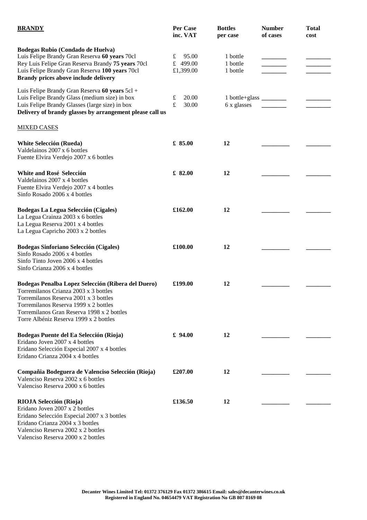| <b>BRANDY</b>                                                                                                                                                                                                                                                         | Per Case<br>inc. VAT                | <b>Bottles</b><br>per case            | <b>Number</b><br>of cases | <b>Total</b><br>cost |
|-----------------------------------------------------------------------------------------------------------------------------------------------------------------------------------------------------------------------------------------------------------------------|-------------------------------------|---------------------------------------|---------------------------|----------------------|
| Bodegas Rubio (Condado de Huelva)<br>Luis Felipe Brandy Gran Reserva 60 years 70cl<br>Rey Luis Felipe Gran Reserva Brandy 75 years 70cl<br>Luis Felipe Brandy Gran Reserva 100 years 70cl<br>Brandy prices above include delivery                                     | £<br>95.00<br>£ 499.00<br>£1,399.00 | 1 bottle<br>1 bottle<br>1 bottle      |                           |                      |
| Luis Felipe Brandy Gran Reserva 60 years 5cl +<br>Luis Felipe Brandy Glass (medium size) in box<br>Luis Felipe Brandy Glasses (large size) in box<br>Delivery of brandy glasses by arrangement please call us                                                         | 20.00<br>£<br>$\mathbf f$<br>30.00  | 1 bottle+glass _______<br>6 x glasses |                           |                      |
| <b>MIXED CASES</b>                                                                                                                                                                                                                                                    |                                     |                                       |                           |                      |
| <b>White Selección (Rueda)</b><br>Valdelainos 2007 x 6 bottles<br>Fuente Elvira Verdejo 2007 x 6 bottles                                                                                                                                                              | £ 85.00                             | 12                                    |                           |                      |
| White and Rosé Selección<br>Valdelainos 2007 x 4 bottles<br>Fuente Elvira Verdejo 2007 x 4 bottles<br>Sinfo Rosado 2006 x 4 bottles                                                                                                                                   | £ 82.00                             | 12                                    |                           |                      |
| <b>Bodegas La Legua Selección (Cigales)</b><br>La Legua Crainza 2003 x 6 bottles<br>La Legua Reserva 2001 x 4 bottles<br>La Legua Capricho 2003 x 2 bottles                                                                                                           | £162.00                             | 12                                    |                           |                      |
| <b>Bodegas Sinforiano Selección (Cigales)</b><br>Sinfo Rosado 2006 x 4 bottles<br>Sinfo Tinto Joven 2006 x 4 bottles<br>Sinfo Crianza 2006 x 4 bottles                                                                                                                | £100.00                             | 12                                    |                           |                      |
| Bodegas Penalba Lopez Selección (Ribera del Duero)<br>Torremilanos Crianza 2003 x 3 bottles<br>Torremilanos Reserva 2001 x 3 bottles<br>Torremilanos Reserva 1999 x 2 bottles<br>Torremilanos Gran Reserva 1998 x 2 bottles<br>Torre Albéniz Reserva 1999 x 2 bottles | £199.00                             | 12                                    |                           |                      |
| Bodegas Puente del Ea Selección (Rioja)<br>Eridano Joven 2007 x 4 bottles<br>Eridano Selección Especial 2007 x 4 bottles<br>Eridano Crianza 2004 x 4 bottles                                                                                                          | £ $94.00$                           | 12                                    |                           |                      |
| Compañia Bodeguera de Valenciso Selección (Rioja)<br>Valenciso Reserva 2002 x 6 bottles<br>Valenciso Reserva 2000 x 6 bottles                                                                                                                                         | £207.00                             | 12                                    |                           |                      |
| RIOJA Selección (Rioja)<br>Eridano Joven 2007 x 2 bottles<br>Eridano Selección Especial 2007 x 3 bottles<br>Eridano Crianza 2004 x 3 bottles<br>Valenciso Reserva 2002 x 2 bottles<br>Valenciso Reserva 2000 x 2 bottles                                              | £136.50                             | 12                                    |                           |                      |